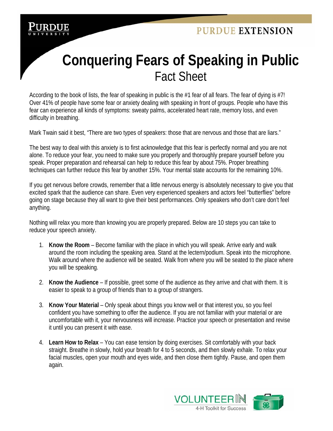

## **Conquering Fears of Speaking in Public**  Fact Sheet

According to the book of lists, the fear of speaking in public is the #1 fear of all fears. The fear of dying is #7! Over 41% of people have some fear or anxiety dealing with speaking in front of groups. People who have this fear can experience all kinds of symptoms: sweaty palms, accelerated heart rate, memory loss, and even difficulty in breathing.

Mark Twain said it best, "There are two types of speakers: those that are nervous and those that are liars."

The best way to deal with this anxiety is to first acknowledge that this fear is perfectly normal and you are not alone. To reduce your fear, you need to make sure you properly and thoroughly prepare yourself before you speak. Proper preparation and rehearsal can help to reduce this fear by about 75%. Proper breathing techniques can further reduce this fear by another 15%. Your mental state accounts for the remaining 10%.

If you get nervous before crowds, remember that a little nervous energy is absolutely necessary to give you that excited spark that the audience can share. Even very experienced speakers and actors feel "butterflies" before going on stage because they all want to give their best performances. Only speakers who don't care don't feel anything.

Nothing will relax you more than knowing you are properly prepared. Below are 10 steps you can take to reduce your speech anxiety.

- 1. **Know the Room** Become familiar with the place in which you will speak. Arrive early and walk around the room including the speaking area. Stand at the lectern/podium. Speak into the microphone. Walk around where the audience will be seated. Walk from where you will be seated to the place where you will be speaking.
- 2. **Know the Audience** If possible, greet some of the audience as they arrive and chat with them. It is easier to speak to a group of friends than to a group of strangers.
- 3. **Know Your Material** Only speak about things you know well or that interest you, so you feel confident you have something to offer the audience. If you are not familiar with your material or are uncomfortable with it, your nervousness will increase. Practice your speech or presentation and revise it until you can present it with ease.
- 4. **Learn How to Relax** You can ease tension by doing exercises. Sit comfortably with your back straight. Breathe in slowly, hold your breath for 4 to 5 seconds, and then slowly exhale. To relax your facial muscles, open your mouth and eyes wide, and then close them tightly. Pause, and open them again.